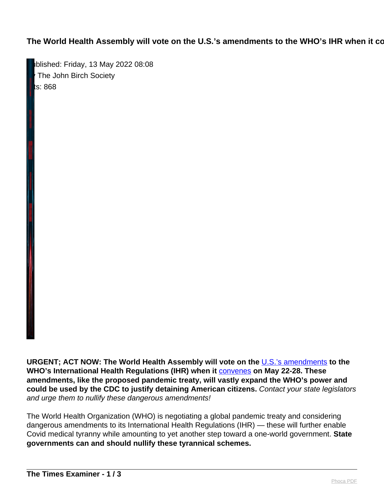The World Health Assembly will vote on the U.S.'s amendments to the WHO's IHR when it co

Published: Friday, 13 May 2022 08:08 The John Birch Society **ts: 868** 

**URGENT; ACT NOW: The World Health Assembly will vote on the** [U.S.'s amendments](https://jbsweb.cmail19.com/t/i-l-cukkjlk-tyuikjjtdu-t/) **to the WHO's International Health Regulations (IHR) when it** [convenes](https://jbsweb.cmail19.com/t/i-l-cukkjlk-tyuikjjtdu-i/) **on May 22-28. These amendments, like the proposed pandemic treaty, will vastly expand the WHO's power and could be used by the CDC to justify detaining American citizens.** Contact your state legislators and urge them to nullify these dangerous amendments!

The World Health Organization (WHO) is negotiating a global pandemic treaty and considering dangerous amendments to its International Health Regulations (IHR) — these will further enable Covid medical tyranny while amounting to yet another step toward a one-world government. **State governments can and should nullify these tyrannical schemes.**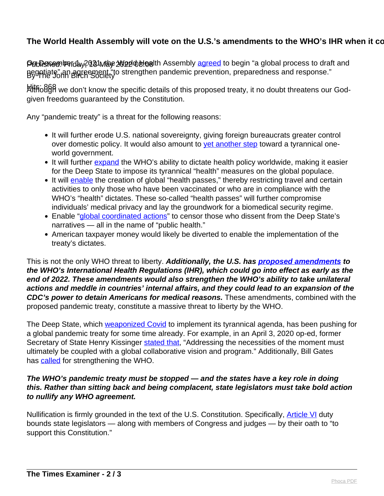## The World Health Assembly will vote on the U.S.'s amendments to the WHO's IHR when it co

**Pທ<sub>ั</sub>ပါ Rေ**ள Perday, 2021 Maye 2022 obtigath Assembly [agreed](https://jbsweb.cmail19.com/t/i-l-cukkjlk-tyuikjjtdu-d/) to begin "a global process to draft and Begetiate" an agreement "to strengthen pandemic prevention, preparedness and response."<br>By The John Birch Society

klit<code>fio</code>8§8 we don't know the specific details of this proposed treaty, it no doubt threatens our Godgiven freedoms guaranteed by the Constitution.

Any "pandemic treaty" is a threat for the following reasons:

- It will further erode U.S. national sovereignty, giving foreign bureaucrats greater control over domestic policy. It would also amount to [yet another step](https://jbsweb.cmail19.com/t/i-l-cukkjlk-tyuikjjtdu-h/) toward a tyrannical oneworld government.
- It will further [expand](https://jbsweb.cmail19.com/t/i-l-cukkjlk-tyuikjjtdu-k/) the WHO's ability to dictate health policy worldwide, making it easier for the Deep State to impose its tyrannical "health" measures on the global populace.
- It will [enable](https://jbsweb.cmail19.com/t/i-l-cukkjlk-tyuikjjtdu-u/) the creation of global "health passes," thereby restricting travel and certain activities to only those who have been vaccinated or who are in compliance with the WHO's "health" dictates. These so-called "health passes" will further compromise individuals' medical privacy and lay the groundwork for a biomedical security regime.
- Enable ["global coordinated actions"](https://jbsweb.cmail19.com/t/i-l-cukkjlk-tyuikjjtdu-o/) to censor those who dissent from the Deep State's narratives — all in the name of "public health."
- American taxpayer money would likely be diverted to enable the implementation of the treaty's dictates.

This is not the only WHO threat to liberty. **Additionally, the U.S. has [proposed amendments](https://jbsweb.cmail19.com/t/i-l-cukkjlk-tyuikjjtdu-b/) to the WHO's International Health Regulations (IHR), which could go into effect as early as the end of 2022. These amendments would also strengthen the WHO's ability to take unilateral actions and meddle in countries' internal affairs, and they could lead to an expansion of the CDC's power to detain Americans for medical reasons.** These amendments, combined with the proposed pandemic treaty, constitute a massive threat to liberty by the WHO.

The Deep State, which [weaponized Covid](https://jbsweb.cmail19.com/t/i-l-cukkjlk-tyuikjjtdu-n/) to implement its tyrannical agenda, has been pushing for a global pandemic treaty for some time already. For example, in an April 3, 2020 op-ed, former Secretary of State Henry Kissinger [stated that,](https://jbsweb.cmail19.com/t/i-l-cukkjlk-tyuikjjtdu-p/) "Addressing the necessities of the moment must ultimately be coupled with a global collaborative vision and program." Additionally, Bill Gates has **called** for strengthening the WHO.

## **The WHO's pandemic treaty must be stopped — and the states have a key role in doing this. Rather than sitting back and being complacent, state legislators must take bold action to nullify any WHO agreement.**

Nullification is firmly grounded in the text of the U.S. Constitution. Specifically, **Article VI** duty bounds state legislators — along with members of Congress and judges — by their oath to "to support this Constitution."